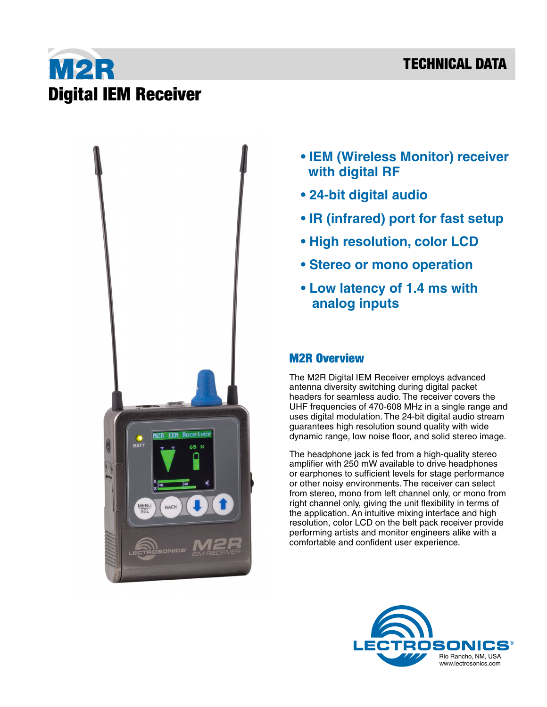## TECHNICAL DATA

# M2R Digital IEM Receiver



- **IEM (Wireless Monitor) receiver with digital RF**
- **24-bit digital audio**
- **IR (infrared) port for fast setup**
- **High resolution, color LCD**
- **Stereo or mono operation**
- **Low latency of 1.4 ms with analog inputs**

### M2R Overview

The M2R Digital IEM Receiver employs advanced antenna diversity switching during digital packet headers for seamless audio. The receiver covers the UHF frequencies of 470-608 MHz in a single range and uses digital modulation. The 24-bit digital audio stream guarantees high resolution sound quality with wide dynamic range, low noise floor, and solid stereo image.

The headphone jack is fed from a high-quality stereo amplifier with 250 mW available to drive headphones or earphones to sufficient levels for stage performance or other noisy environments. The receiver can select from stereo, mono from left channel only, or mono from right channel only, giving the unit flexibility in terms of the application. An intuitive mixing interface and high resolution, color LCD on the belt pack receiver provide performing artists and monitor engineers alike with a comfortable and confident user experience.